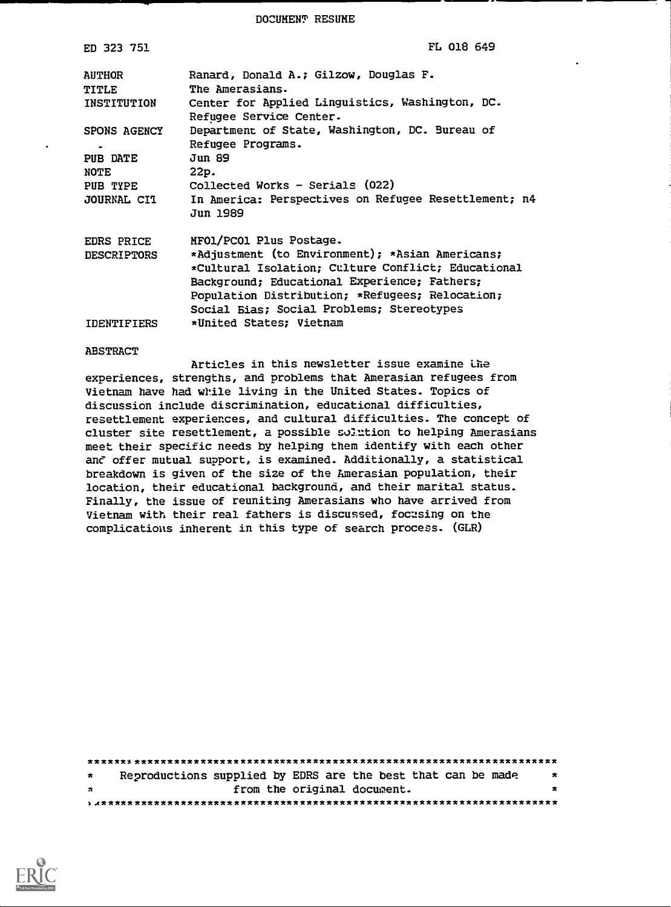DOCUMENT RESUME

| ED 323 751                            | FL 018 649                                                                                                                                                                                                                                            |
|---------------------------------------|-------------------------------------------------------------------------------------------------------------------------------------------------------------------------------------------------------------------------------------------------------|
| <b>AUTHOR</b><br>TITLE<br>INSTITUTION | Ranard, Donald A.; Gilzow, Douglas F.<br>The Amerasians.<br>Center for Applied Linguistics, Washington, DC.<br>Refugee Service Center.                                                                                                                |
| SPONS AGENCY                          | Department of State, Washington, DC. Bureau of                                                                                                                                                                                                        |
| $\bullet$                             | Refugee Programs.                                                                                                                                                                                                                                     |
| PUB DATE                              | Jun 89                                                                                                                                                                                                                                                |
| <b>NOTE</b>                           | 22p.                                                                                                                                                                                                                                                  |
| PUB TYPE                              | Collected Works - Serials (022)                                                                                                                                                                                                                       |
| JOURNAL CIT                           | In America: Perspectives on Refugee Resettlement; n4<br>Jun 1989                                                                                                                                                                                      |
| EDRS PRICE                            | MFO1/PCO1 Plus Postage.                                                                                                                                                                                                                               |
| DESCRIPTORS                           | *Adjustment (to Environment); *Asian Americans;<br>*Cultural Isolation; Culture Conflict; Educational<br>Background; Educational Experience; Fathers;<br>Population Distribution; *Refugees; Relocation;<br>Social Bias; Social Problems; Stereotypes |
| IDENTIFIERS                           | *United States; Vietnam                                                                                                                                                                                                                               |

#### **ABSTRACT**

Articles in this newsletter issue examine the experiences, strengths, and problems that Amerasian refugees from Vietnam have had while living in the United States. Topics of discussion include discrimination, educational difficulties, resettlement experiences, and cultural difficulties. The concept of cluster site resettlement, a possible solution to helping Amerasians meet their specific needs by helping them identify with each other and offer mutual support, is examined. Additionally, a statistical breakdown is given of the size of the Amerasian population, their location, their educational background, and their marital status. Finally, the issue of reuniting Amerasians who have arrived from Vietnam with their real fathers is discussed, focusing on the complications inherent in this type of search process. (GLR)

| $\star$ | Reproductions supplied by EDRS are the best that can be made |                             |  |  |  |  | $\overline{\phantom{a}}$ |
|---------|--------------------------------------------------------------|-----------------------------|--|--|--|--|--------------------------|
| $\star$ |                                                              | from the original document. |  |  |  |  | $\bullet$                |
|         |                                                              |                             |  |  |  |  |                          |

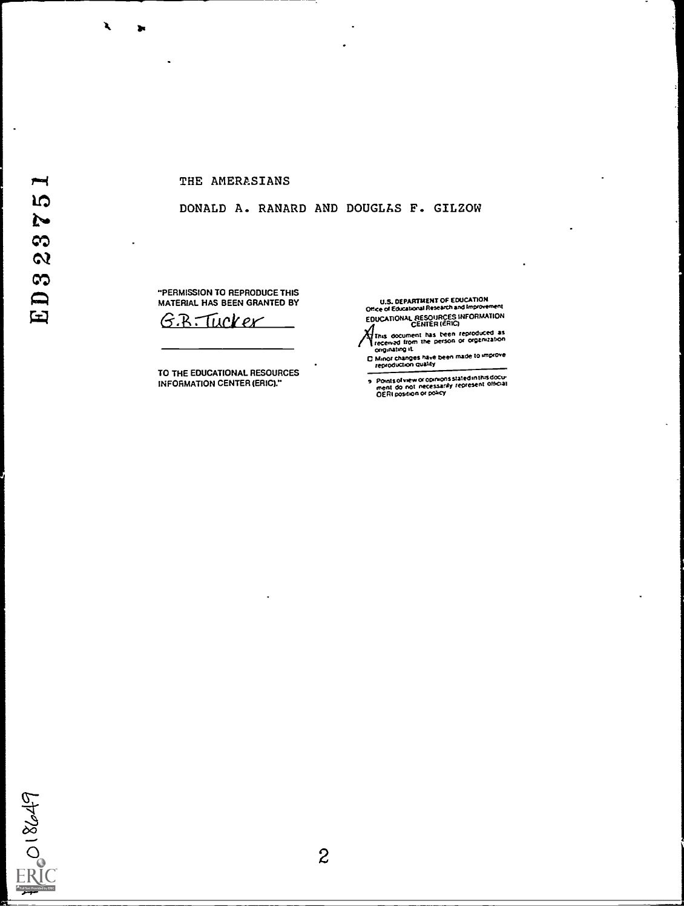$\blacktriangleright$ **IQ** 

 $\tilde{P}$ 

 $\frac{3}{2}$ 

 $\infty$ 

 $E$ 

### THE AMERASIANS

### DONALD A. RANARD AND DOUGLAS F. GILZOW

"PERMISSION TO REPRODUCE THIS MATERIAL HAS BEEN GRANTED BY

G.B. Tucker

TO THE EDUCATIONAL RESOURCES INFORMATION CENTER (ERIC)."

U.S. DEPARTMENT OF EDUCATION<br>Office of Educational Research and Improvement<br>EDUCATIONAL RESOURCES INFORMATION<br>A CENTER (ERIG)

CENTER (ERIC)<br>This occurrent has been reproduced as<br>received from the person or organization<br>originating it.<br>C Minor changes have been made to improve<br>reproduction quality

Points of view or opinions stated in this document do not inecessarily represent official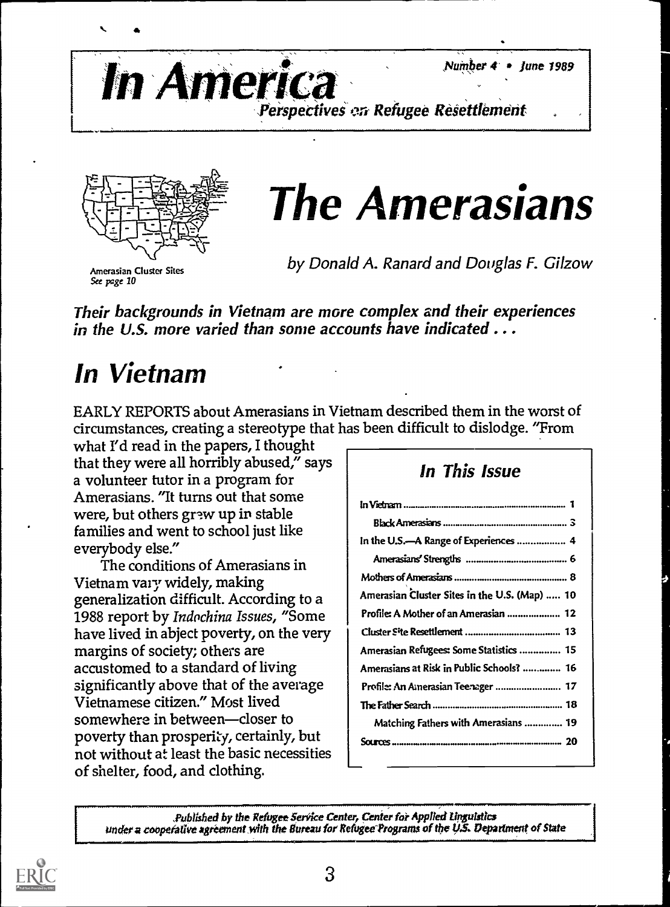Number  $4$  + June 1989



Perspectives en Refugee Resettlement



The Amerasians

by Donald A. Ranard and Douglas F. Gilzow

Their backgrounds in Vietnam are more complex and their experiences in the U.S. more varied than some accounts have indicated ...

## In Vietnam

EARLY REPORTS about Amerasians in Vietnam described them in the worst of circumstances, creating a stereotype that has been difficult to dislodge. "From

what I'd read in the papers, I thought that they were all horribly abused," says a volunteer tutor in a program for Amerasians. "It turns out that some were, but others grew up in stable families and went to school just like everybody else."

The conditions of Amerasians in Vietnam vary widely, making generalization difficult. According to a 1988 report by Indochina Issues, "Some have lived in abject poverty, on the very margins of society; others are accustomed to a standard of living significantly above that of the average Vietnamese citizen." Most lived somewhere in between-closer to poverty than prosperity, certainly, but not without at least the basic necessities of shelter, food, and clothing.

### In This Issue

| In the U.S.—A Range of Experiences  4         |  |
|-----------------------------------------------|--|
|                                               |  |
|                                               |  |
| Amerasian Cluster Sites in the U.S. (Map)  10 |  |
|                                               |  |
|                                               |  |
| Amerasian Refugees: Some Statistics  15       |  |
| Amerasians at Risk in Public Schools?  16     |  |
|                                               |  |
|                                               |  |
| Matching Fathers with Amerasians  19          |  |
| Sou                                           |  |
|                                               |  |

Published by the Refugee Service Center, Center for Applied Linguistics. under a cooperative agreement with the Bureau for Refugee Programs of the U.S. Department of State

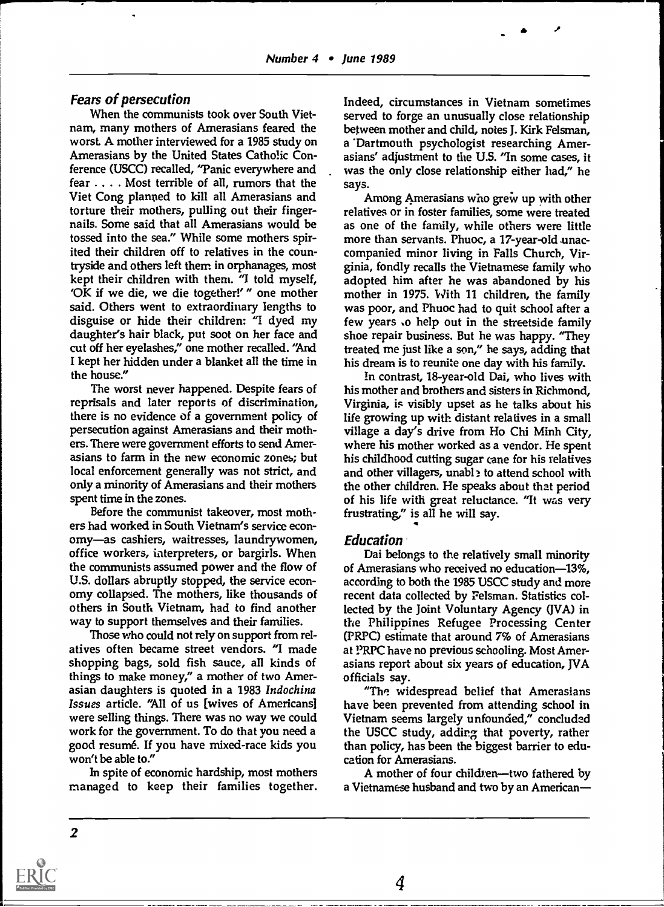### Fears of persecution

When the communists took over South Vietnam, many mothers of Amerasians feared the worst A mother interviewed for a 1985 study on Amerasians by the United States Catholic Conference (USCC) recalled, 'Tanic everywhere and fear . . . . Most terrible of all, rumors that the Viet Cong planned to kill all Amerasians and torture their mothers, pulling out their fingernails. Some said that all Amerasians would be tossed into the sea." While some mothers spirited their children off to relatives in the countryside and others left them. in orphanages, most kept their children with them.  $\gamma$  told myself, 'OK if we die, we die together!' " one mother said. Others went to extraordinary lengths to disguise or hide their children: "I dyed my daughter's hair black, put soot on her face and cut off her eyelashes," one mother recalled. "And I kept her hidden under a blanket all the time in the house."

The worst never happened. Despite fears of reprisals and later reports of discrimination, there is no evidence of a government policy of persecution against Amerasians and their mothers. There were government efforts to send Amerasians to farm in the new economic zones; but local enforcement generally was not strict, and only a minority of Amerasians and their mothers spent time in the zones.

Before the communist takeover, most mothers had worked in South Vietnam's service economy-as cashiers, waitresses, laundrywomen, office workers, laterpreters, or bargirls. When the communists assumed power and the flow of U.S. dollars abruptly stopped, the service economy collapsed. The mothers, like thousands of others in South Vietnam, had to find another way to support themselves and their families.

Those who could not rely on support from relatives often became street vendors. "I made shopping bags, sold fish sauce, all kinds of things to make money," a mother of two Amerasian daughters is quoted in a 1983 Indochina Issues article. "All of us [wives of Americans] were selling things. There was no way we could work for the government. To do that you need a good resumé. If you have mixed-race kids you won't be able to."

In spite of economic hardship, most mothers managed to keep their families together. Indeed, circumstances in Vietnam sometimes served to forge an unusually close relationship between mother and child, notes J. Kirk Felsman, a 'Dartmouth psychologist researching Amerasians' adjustment to the U.S. "In some cases, it was the only close relationship either had," he says.

Among Amerasians who grew up with other relatives or in foster families, some were treated as one of the family, while others were little more than servants. Phuoc, a 17-year-old unaccompanied minor living in Falls Church, Virginia, fondly recalls the Vietnamese family who adopted him after he was abandoned by his mother in 1975. With 11 children, the family was poor, and Phuoc had to quit school after a few years to help out in the streetside family shoe repair business. But he was happy. "They treated me just like a son," he says, adding that his dream is to reunite one day with his family.

In contrast, 18-year-old Dai, who lives with his mother and brothers and sisters in Richmond, Virginia, is visibly upset as he talks about his life growing up with distant relatives in a small village a day's drive from Ho Chi Minh City, where his mother worked as a vendor. He spent his childhood cutting sugar cane for his relatives and other villagers, unabl ? to attend school with the other children. He speaks about that period of his life with great reluctance. "It was very frustrating," is all he will say.

#### **Education**

Dai belongs to the relatively small minority of Amerasians who received no education-13%, according to both the 1985 USCC study and more recent data collected by Felsman. Statistics collected by the Joint Voluntary Agency (JVA) in the Philippines Refugee Processing Center (PRPC) estimate that around 7% of Amerasians at PRPC have no previous schooling. Most Amerasians report about six years of education, JVA officials say.

"The widespread belief that Amerasians have been prevented from attending school in Vietnam seems largely unfounded," concluded the USCC study, addirg that poverty, rather than policy, has been the biggest barrier to education for Amerasians.

A mother of four children-two fathered by a Vietnamese husband and two by an American

4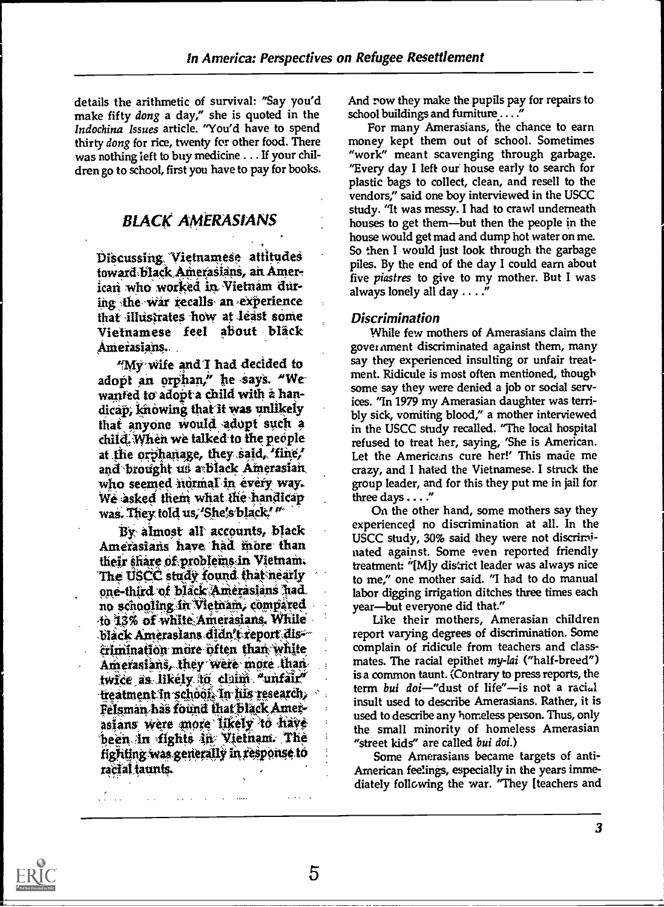details the arithmetic of survival: "Say you'd make fifty dong a day," she is quoted in the Indochina Issues article. "You'd have to spend thirty dong for rice, twenty for other food. There was nothing left to buy medicine . . . If your children go to school, first you have to pay for books.

### **BLACK AMERASIANS**

Discussing Vietnamese attitudes toward black Amerasians, an American who worked in Vietnam during the war recalls an experience that illustrates how at least some Vietnamese feel about bläck Amerasians.

"My wife and I had decided to adopt an orphan," he says. "We wanted to adopt a child with a handicap, knowing that it was unlikely that anyone would adopt such a child. When we talked to the people at the orphanage, they said, 'fine,' and brought us a black Amerasian who seemed normal in every way. We asked them what the handicap was. They told us, 'She's black' "

By almost all accounts, black Amerasians have had more than their share of problems in Vietnam. The USCC study found that nearly one-third of black Amerasians had. no schooling in Vietnam, compared to 13% of white Americians. While black Amerasians didn't report discrimination more often than white Amerasians, they were more than twice as likely to claim "unfair" -treatment in school. In fils research,  $\sim$  : Felsman has found that black Amerasians were more likely to have been in fights in Vietnam. The fighting was generally in response to racial taunts.

And row they make the pupils pay for repairs to school buildings and furniture . . . . "

For many Amerasians, the chance to earn money kept them out of school. Sometimes "work" meant scavenging through garbage. "Every day I left our house early to search for plastic bags to collect, clean, and resell to the vendors," said one boy interviewed in the USCC study. "It was messy. I had to crawl underneath houses to get them—but then the people in the house would get mad and dump hot water on me. So then I would just look through the garbage piles. By the end of the day I could earn about five piastres to give to my mother. But I was always lonely all day . . . ."

### **Discrimination**

While few mothers of Amerasians claim the gover nment discriminated against them, many say they experienced insulting or unfair treatment. Ridicule is most often mentioned, though some say they were denied a job or social services. "In 1979 my Amerasian daughter was terribly sick, vomiting blood," a mother interviewed in the USCC study recalled. "The local hospital refused to treat her, saying, 'She is American. Let the Americans cure her!' This made me crazy, and I hated the Vietnamese. I struck the group leader, and for this they put me in jail for three days . . . ."

On the other hand, some mothers say they experienced no discrimination at all. In the USCC study, 30% said they were not discriminated against. Some even reported friendly treatment: "[M]y district leader was always nice to me," one mother said. "I had to do manual labor digging irrigation ditches three times each year-but everyone did that."

Like their mothers, Amerasian children report varying degrees of discrimination. Some complain of ridicule from teachers and classmates. The racial epithet my-lai ("half-breed") is a common taunt. (Contrary to press reports, the term bui doi-"dust of life"-is not a racial insult used to describe Amerasians. Rather, it is used to describe any homeless person. Thus, only the small minority of homeless Amerasian "street kids" are called bui doi.)

Some Amerasians became targets of anti-American feelings, especially in the years immediately following the war. "They [teachers and

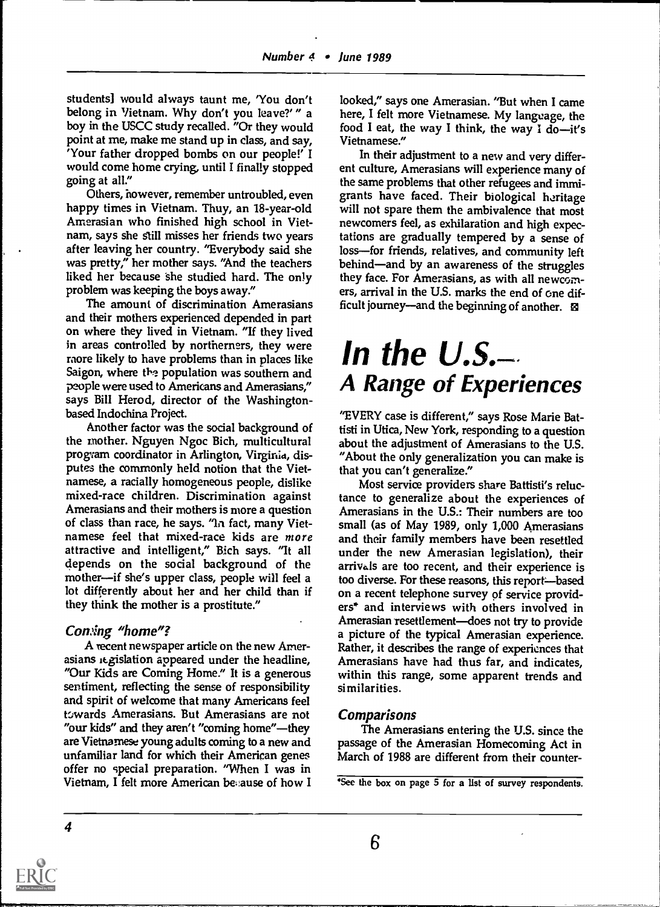students] would always taunt me, 'You don't belong in Vietnam. Why don't you leave?' " a boy in the USCC study recalled. "Or they would point at me, make me stand up in class, and say, 'Your father dropped bombs on our people!' I would come home crying, until I finally stopped going at all."

Others, however, remember untroubled, even happy times in Vietnam. Thuy, an 18-year-old Amerasian who finished high school in Vietnam, says she Still misses her friends two years after leaving her country. "Everybody said she was pretty," her mother says. "And the teachers liked her because she studied hard. The only problem was keeping the boys away."

The amount of discrimination Amerasians and their mothers experienced depended in part on where they lived in Vietnam. "If they lived in areas controlled by northerners, they were raore likely to have problems than in places like Saigon, where the population was southern and people were used to Americans and Amerasians," says Bill Herod, director of the Washingtonbased Indochina Project.

Another factor was the social background of the mother. Nguyen Ngoc Bich, multicultural program coordinator in Arlington, Virginia, disputes the commonly held notion that the Vietnamese, a racially homogeneous people, dislike mixed-race children. Discrimination against Amerasians and their mothers is more a question of class than race, he says. "In fact, many Vietnamese feel that mixed-race kids are more attractive and intelligent," Bich says. "It all depends on the social background of the mother—if she's upper class, people will feel a lot differently about her and her child than if they think the mother is a prostitute."

### Consing "home"?

A recent newspaper article on the new Amerasians regislation appeared under the headline, "Our Kids are Coming Home." It is a generous sentiment, reflecting the sense of responsibility and spirit of welcome that many Americans feel towards Amerasians. But Amerasians are not "our kids" and they aren't "coming home"—they are Vietnamese young adults coming to a new and unfamiliar land for which their American genes offer no special preparation. "When I was in Vietnam, I felt more American be,:ause of how I looked," says one Amerasian. "But when I came here, I felt more Vietnamese. My language, the food I eat, the way I think, the way I do-it's Vietnamese."

In their adjustment to a new and very different culture, Amerasians will experience many of the same problems that other refugees and immigrants have faced. Their biological heritage will not spare them the ambivalence that most newcomers feel, as exhilaration and high expectations are gradually tempered by a sense of loss-for friends, relatives, and community left behind-and by an awareness of the struggles they face. For Amerasians, as with all newcomers, arrival in the U.S. marks the end of one difficult journey—and the beginning of another.  $\boxtimes$ 

## In the  $U.S$ . A Range of Experiences

"EVERY case is different," says Rose Marie Battisti in Utica, New York, responding to a question about the adjustment of Amerasians to the U.S. "About the only generalization you can make is that you can't generalize."

Most service providers share Battisti's reluctance to generalize about the experiences of Amerasians in the U.S.: Their numbers are too small (as of May 1989, only 1,000 Amerasians and their family members have been resettled under the new Amerasian legislation), their arrivals are too recent, and their experience is too diverse. For these reasons, this report-based on a recent telephone survey of service providers\* and interviews with others involved in Amerasian resettlement-does not try to provide a picture of the typical Amerasian experience. Rather, it describes the range of experiences that Amerasians have had thus far, and indicates, within this range, some apparent trends and similarities.

### Comparisons

The Amerasians entering the U.S. since the passage of the Amerasian Homecoming Act in March of 1988 are different from their counter-

<sup>&#</sup>x27;See the box on page 5 for a list of survey respondents.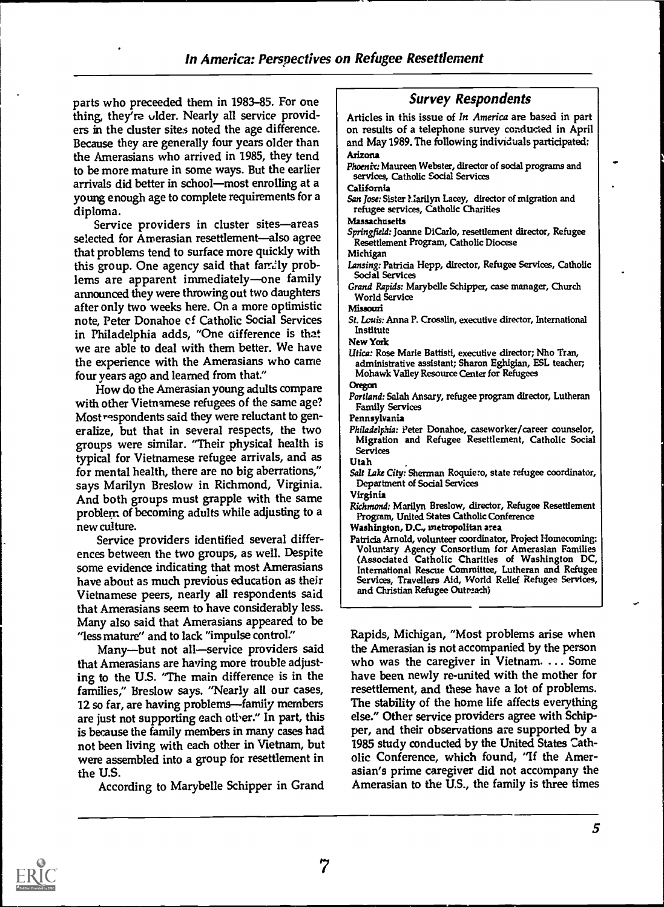parts who preceeded them in 1983-85. For one thing, they're ulder. Nearly all service providers in the cluster sites noted the age difference. Because they are generally four years older than the Amerasians who arrived in 1985, they tend to be more mature in some ways. But the earlier arrivals did better in school-most enrolling at a young enough age to complete requirements for a

diploma.<br>Service providers in cluster sites—areas selected for Amerasian resettlement—also agree that problems tend to surface more quickly with this group. One agency said that family problems are apparent immediately-one family announced they were throwing out two daughters after only two weeks here. On a more optimistic note, Peter Donahoe cf Catholic Social Services in Philadelphia adds, "One ciifference is that we are able to deal with them better. We have the experience with the Amerasians who came four years ago and learned from that"

How do the Amerasian young adults compare with other Vietnamese refugees of the same age? Most respondents said they were reluctant to generalize, but that in several respects, the two groups were similar. "Their physical health is typical for Vietnamese refugee arrivals, and as for mental health, there are no big aberrations," says Marilyn Breslow in Richmond, Virginia. And both groups must grapple with the same problem of becoming adults while adjusting to a new culture.

Service providers identified several differences between the two groups, as well. Despite some evidence indicating that most Amerasians have about as much previous education as their Vietnamese peers, nearly all respondents said that Amerasians seem to have considerably less. Many also said that Amerasians appeared to be "less mature" and to lack "impulse control."

Many-but not all-service providers said that Amerasians are having more trouble adjusting to the U.S. "The main difference is in the families," Breslow says. "Nearly all our cases, 12 so far, are having problems—family members are just not supporting each otiver." In part, this is because the family members in many cases had not been living with each other in Vietnam, but were assembled into a group for resettlement in the U.S.

According to Marybelle Schipper in Grand

Survey Respondents Articles in this issue of In America are based in part on results of a telephone survey conducted in April and May 1989. The following individuals participated: Arizona Phoenix: Maureen Webster, director of social programs and services, Catholic Social Services California San Jose: Sister l. larilyn Lacey, director of migration and refugee services, Catholic Charities Massachusetts Springfield: Joanne DiCarlo, resettlement director, Refugee Resettlement Program, Catholic Diocese Michigan Lansing: Patricia Hepp, director, Refugee Services, Catholic Social Services Grand Rapids: Marybelle Schipper, case manager, Church World Service hfissouri St. Louis: Anna P. Crosslin, executive director, International Institute New York Utica: Rose Marie Battisti, executive director; Nho Tran, administrative assistant; Sharon Eghigian, ESL teacher; Mohawk Valley Resource Center for Refugees Oregon Portland: Salah Ansary, refugee program director, Lutheran Family Services Pennsylvania Philadelphia: Peter Donahoe, caseworker/career counselor, Migration and Refugee Resettlement, Catholic Social Services **Utah** Salt lake City: Sherman Roquiero, state refugee coordinator, Department of Social Services Virginia Richmond: Marilyn Breslow, director, Refugee Resettlement Program, United States Catholic Conference Washington, D.C., metropolitan area Patricia Arnold, volunteer coordinator, Project Homecoming: Voluntary Agency Consortium for Amerasian Families (Associated Catholic Charities of Washington DC, International Rescue Committee, Lutheran and Refugee Services, Travellers Aid, World Relief Refugee Services, and Christian Refugee Outreach)

Rapids, Michigan, "Most problems arise when the Amerasian is not accompanied by the person who was the caregiver in Vietnam. ... Some have been newly re-united with the mother for resettlement, and these have a lot of problems. The stability of the home life affects everything else." Other service providers agree with Schipper, and their observations are supported by a 1985 study conducted by the United States Catholic Conference, which found, "If the Amerasian's prime caregiver did not accompany the Amerasian to the U.S., the family is three times

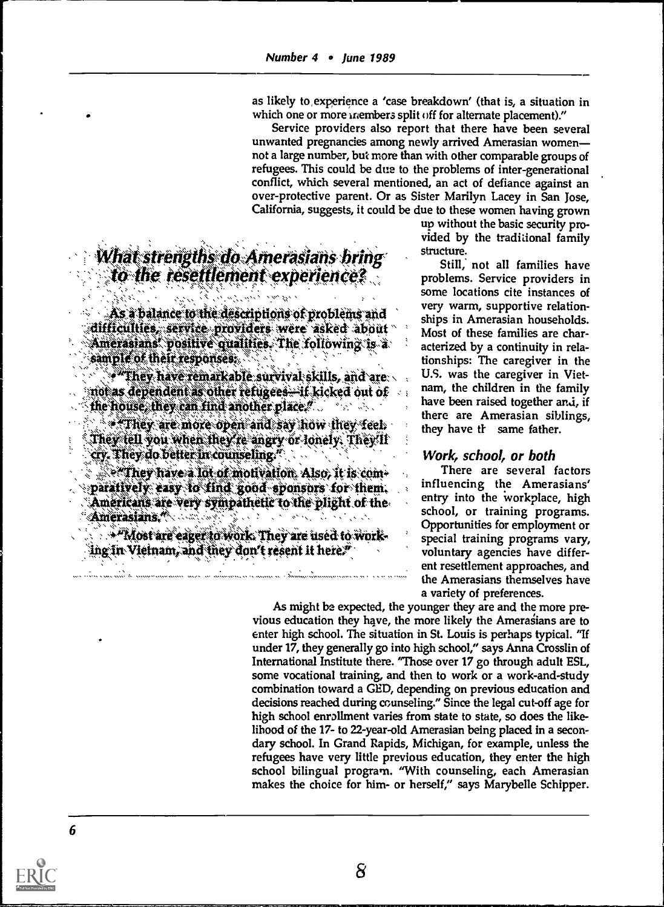as likely to,experience a 'case breakdown' (that is, a situation in which one or more members split off for alternate placement)."

Service providers also report that there have been several unwanted pregnancies among newly arrived Amerasian women not a large number, but more than with other comparable groups of refugees. This could be due to the problems of inter-generational conflict, which several mentioned, an act of defiance against an over-protective parent. Or as Sister Marilyn Lacey in San Jose, California, suggests, it could be due to these women having grown

# What strengths do Amerasians bring<br>\\to the resettlement experience?

As a balance to the descriptions of problems and difficulties, service providers were asked about<br>Amerasians positive qualities. The following is a sample of their responses.

 $*$  They have remarkable survival skills, and are  $\sim$  $\frac{2\pi}{\pi}$  and the relations  $\frac{1}{\pi}$  and the relations  $\frac{1}{\pi}$  and the relations  $\frac{1}{\pi}$ 

 $\cdot$  . They are more open and say how they feel. They fell you when they re angry or lonely. They'll<br>cry. They do belier in counseling."

,  $\gg$  They have a lot of motivation. Also, it is com- $\alpha$  paratively easy to find good sponsors for them, '. Americans are very sympathetic to the plight of the  $\lambda$ , ,

 $A^2$ Most are eager to work. They are used to working in Vietnam, and they don't resent it here."

up without the basic security provided by the traditional family structure.

Still, not all families have problems. Service providers in some locations cite instances of very warm, supportive relationships in Amerasian households. Most of these families are characterized by a continuity in relationships: The caregiver in the U.S. was the caregiver in Vietnam, the children in the family have been raised together and, if there are Amerasian siblings, they have if same father.

### Work, school, or both

There are several factors influencing the Amerasians' entry into the workplace, high school, or training programs. Opportunities for employment or special training programs vary, voluntary agencies have different resettlement approaches, and the Amerasians themselves have a variety of preferences.

As might be expected, the younger they are and the more previous education they have, the more likely the Amerasians are to enter high school. The situation in St. Louis is perhaps typical. "If under 17, they generally go into high school," says Anna Crosslin of International Institute there. "Those over 17 go through adult ESL, some vocational training, and then to work or a work-and-study combination toward a GED, depending on previous education and decisions reached during counseling." Since the legal cut-off age for high school enrollment varies from state to state, so does the likelihood of the 17- to 22-year-old Amerasian being placed in a secondary school. In Grand Rapids, Michigan, for example, unless the refugees have very little previous education, they enter the high school bilingual program. "With counseling, each Amerasian makes the choice for him- or herself," says Marybelle Schipper.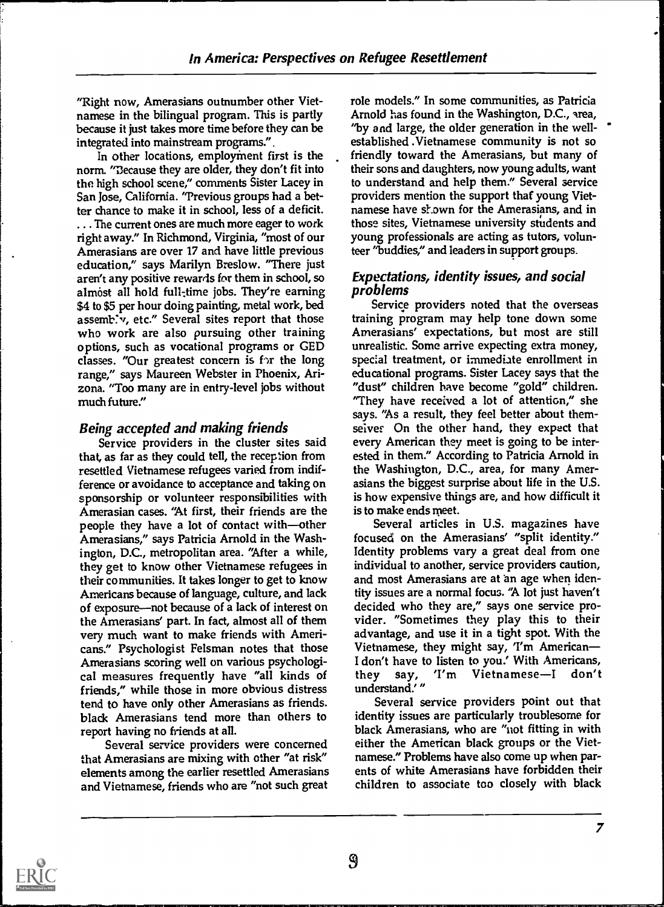"Right now, Amerasians outnumber other Vietnamese in the bilingual program. This is partly because it just takes more time before they can be integrated into mainstream programs.".

In other locations, employment first is the norm. "Because they are older, they don't fit into the high school scene," comments Sister Lacey in San Jose, California. 'Previous groups had a better chance to make it in school, less of a deficit. . .. The current ones are much more eager to work right away." In Richmond, Virginia, "most of our Amerasians are over 17 and have little previous education," says Marilyn Breslow. "There just aren't any positive rewards for them in school, so almost all hold full-time jobs. They're earning \$4 to \$5 per hour doing painting, metal work, bed assemb: v, etc." Several sites report that those who work are also pursuing other training options, such as vocational programs or GED classes. "Our greatest concern is for the long range," says Maureen Webster in Phoenix, Arizona. "Too many are in entry-level jobs without much future."

### Being accepted and making friends

Service providers in the cluster sites said that, as far as they could tell, the reception from resettled Vietnamese refugees varied from indifference or avoidance to acceptance and taking on sponsorship or volunteer responsibilities with Amerasian cases. "At first, their friends are the people they have a lot of contact with-other Amerasians," says Patricia Arnold in the Washington, D.C., metropolitan area. 'After a while, they get to know other Vietnamese refugees in their communities. It takes longer to get to know Americans because of language, culture, and lack of exposure—not because of a lack of interest on decided who they are," says one service pro-<br>the Amerasians' part. In fact, almost all of them vider. "Sometimes they play this to their the Amerasians' part. In fact, almost all of them very much want to make friends with Americans." Psychologist Felsman notes that those Amerasians scoring well on various psychological measures frequently have "all kinds of friends," while those in more obvious distress tend to have only other Amerasians as friends. black Amerasians tend more than others to report having no friends at all.

Several service providers were concerned that Amerasians are mixing with other "at risk" elements among the earlier resettled Amerasians and Vietnamese, friends who are "not such great

role models." In some communities, as Patricia Arnold has found in the Washington, D.C., area, "by and large, the older generation in the wellestablished .Vietnamese community is not so friendly toward the Amerasians, but many of their sons and daughters, now young adults, want to understand and help them." Several service providers mention the support that young Vietnamese have shown for the Amerasians, and in those sites, Vietnamese university students and young professionals are acting as tutors, volunteer "buddies," and leaders in support groups.

### Expectations, identity issues, and social problems

Service providers noted that the overseas training program may help tone down some Amerasians' expectations, but most are still unrealistic. Some arrive expecting extra money, special treatment, or immediate enrollment in educational programs. Sister Lacey says that the "dust" children have become "gold" children. "They have received a lot of attention," she says. "As a result, they feel better about themseives On the other hand, they expect that every American they meet is going to be interested in them." According to Patricia Arnold in the Washington, D.C., area, for many Amerasians the biggest surprise about life in the U.S. is how expensive things are, and how difficult it is to make ends meet.

Several articles in U.S. magazines have focused on the Amerasians' "split identity." Identity problems vary a great deal from one individual to another, service providers caution, and most Amerasians are at 'an age when identity issues are a normal focus. "A lot just haven't decided who they are," says one service proadvantage, and use it in a tight spot. With the Vietnamese, they might say, 'I'm American I don't have to listen to you.' With Americans,<br>they say, 'I'm Vietnamese-I don't say, 'I'm Vietnamese-I don't understand.'"

Several service providers point out that identity issues are particularly troublesome for black Amerasians, who are "not fitting in with either the American black groups or the Vietnamese." Problems have also come up when parents of white Amerasians have forbidden their children to associate too closely with black

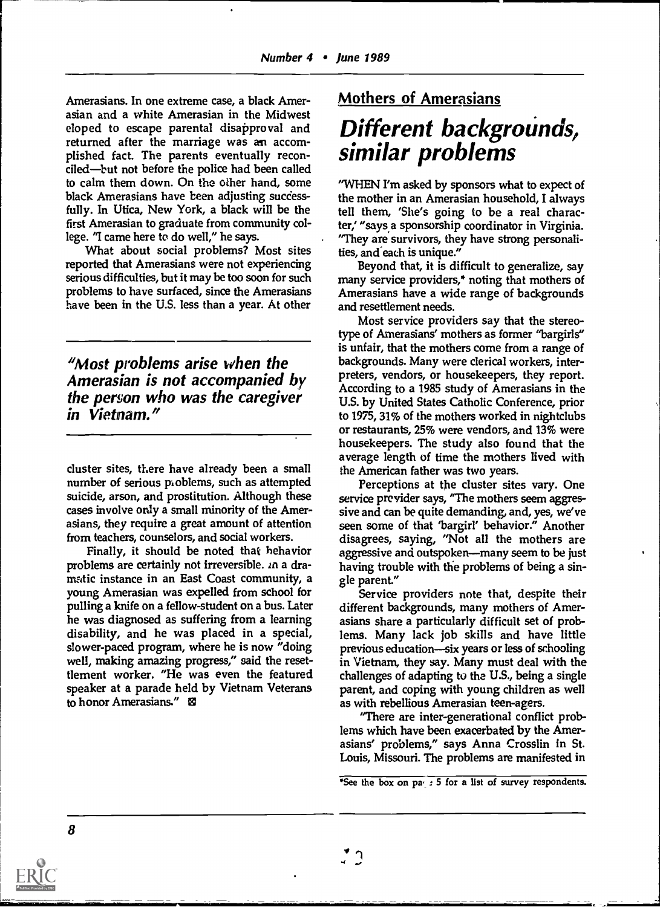Amerasians. In one extreme case, a black Amerasian and a white Amerasian in the Midwest eloped to escape parental disapproval and returned after the marriage was an accomplished fact. The parents eventually reconciled—but not before the police had been called to calm them down. On the other hand, some black Amerasians have been adjusting successfully. In Utica, New York, a black will be the first Amerasian to graduate from community college. "I came here to do well," he says.

What about social problems? Most sites reported that Amerasians were not experiencing serious difficulties, but it may be too soon for such problems to have surfaced, since the Amerasians have been in the U.S. less than a year. At other

"Most problems arise when the Amerasian is not accompanied by the person who was the caregiver in Vietnam."

cluster sites, there have already been a small number of serious pioblems, such as attempted suicide, arson, and prostitution. Although these cases involve only a small minority of the Amerasians, they require a great amount of attention from teachers, counselors, and social workers.

Finally, it should be noted that behavior problems are certainly not irreversible. In a dramatic instance in an East Coast community, a young Amerasian was expelled from school for pulling a knife on a fellow-student on a bus. Later he was diagnosed as suffering from a learning disability, and he was placed in a special, slower-paced program, where he is now "doing well, making amazing progress," said the resettlement worker. "He was even the featured speaker at a parade held by Vietnam Veterans to honor Amerasians."

### Mothers of Amerasians

### Different backgrounds, similar problems

"WHEN I'm asked by sponsors what to expect of the mother in an Amerasian household, I always tell them, 'She's going to be a real character,' "says.a sponsorship coordinator in Virginia. "They are survivors, they have strong personalities, and each is unique."

Beyond that, it is difficult to generalize, say many service providers,\* noting that mothers of Amerasians have a wide range of backgrounds and resettlement needs.

Most service providers say that the stereotype of Amerasians' mothers as former "bargirls" is unfair, that the mothers come from a range of backgrounds. Many were clerical workers, interpreters, vendors, or housekeepers, they report. According to a 1985 study of Amerasians in the U.S. by United States Catholic Conference, prior to 1975, 31% of the mothers worked in nightclubs or restaurants, 25% were vendors, and 13% were housekeepers. The study also found that the average length of time the mothers lived with the American father was two years.

Perceptions at the cluster sites vary. One service previder says, "The mothers seem aggressive and can be quite demanding, and, yes, we've seen some of that 'bargirl' behavior." Another disagrees, saying, "Not all the mothers are aggressive and outspoken—many seem to be just having trouble with the problems of being a single parent."

Service providers note that, despite their different backgrounds, many mothers of Amerasians share a particularly difficult set of problems. Many lack job skills and have little previous education-six years or less of schooling in Vietnam, they say. Many must deal with the challenges of adapting to the U.S., being a single parent, and coping with young children as well as with rebellious Amerasian teen-agers.

"There are inter-generational conflict problems which have been exacerbated by the Amerasians' problems," says Anna Crosslin in St. Louis, Missouri. The problems are manifested in

 $\mathbf{C}$ 

<sup>\*</sup>See the box on pa, 5 for a list of survey respondents.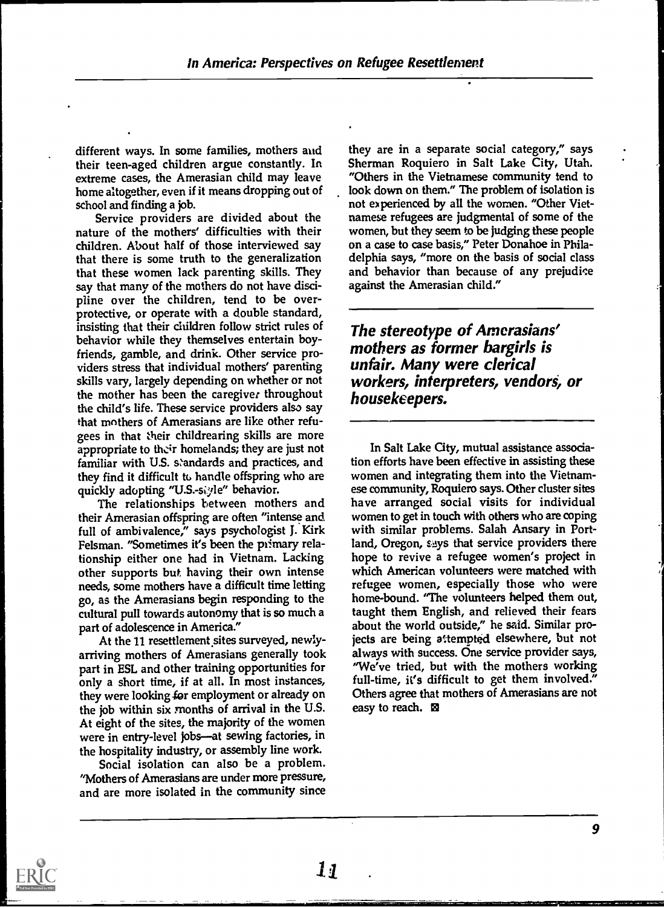different ways. In some families, mothers aud their teen-aged children argue constantly. In extreme cases, the Amerasian child may leave home altogether, even if it means dropping out of school and finding a job.

Service providers are divided about the nature of the mothers' difficulties with their children. About half of those interviewed say that there is some truth to the generalization that these women lack parenting skills. They say that many of the mothers do not have discipline over the children, tend to be overprotective, or operate with a double standard, insisting that their children follow strict rules of behavior while they themselves entertain boyfriends, gamble, and drink. Other service providers stress that individual mothers' parenting skills vary, largely depending on whether or not the mother has been the caregiver throughout the child's life. These service providers also say that mothers of Amerasians are like other refugees in that their childrearing skills are more appropriate to their homelands; they are just not familiar with U.S. standards and practices, and they find it difficult to handle offspring who are quickly adopting "U.S.-siyle" behavior.

The relationships between mothers and their Amerasian offspring are often "intense and full of ambivalence," says psychologist J. Kirk Felsman. "Sometimes it's been the primary relationship either one had in Vietnam. Lacking other supports but having their own intense needs, some mothers have a difficult time letting go, as the Amerasians begin responding to the cultural pull towards autonomy that is so much a part of adolescence in America."

At the 11 resettlement sites surveyed, newlyarriving mothers of Amerasians generally took part in ESL and other training opportunities for only a short time, if at all. In most instances, they were looking for employment or already on the job within six months of arrival in the U.S. At eight of the sites, the majority of the women were in entry-level jobs-at sewing factories, in the hospitality industry, or assembly line work.

Social isolation can also be a problem. "Mothers of Amerasians are under more pressure, and are more isolated in the community since

they are in a separate social category," says Sherman Roquiero in Salt Lake City, Utah. "Others in the Vietnamese community tend to look down on them." The problem of isolation is not experienced by all the women. "Other Vietnamese refugees are judgmental of some of the women, but they seem to be judging these people on a case to case basis," Peter Donahoe in Philadelphia says, "more on the basis of social class and behavior than because of any prejudice against the Amerasian child."

The stereotype of Amerasians' mothers as former bargirls is unfair. Many were clerical workers, interpreters, vendors, or housekeepers.

In Salt Lake City, mutual assistance association efforts have been effective in assisting these women and integrating them into the Vietnamese community, Roquiero says. Other cluster sites have arranged social visits for individual women to get in touch with others who are coping with similar problems. Salah Ansary in Portland, Oregon, says that service providers there hope to revive a refugee women's project in which American volunteers were matched with refugee women, especially those who were home-bound. "The volunteers helped them out, taught them English, and relieved their fears about the world outside," he said. Similar projects are being attempted elsewhere, but not always with success. One service provider says, "We've tried, but with the mothers working full-time, it's difficult to get them involved." Others agree that mothers of Amerasians are not easy to reach. El

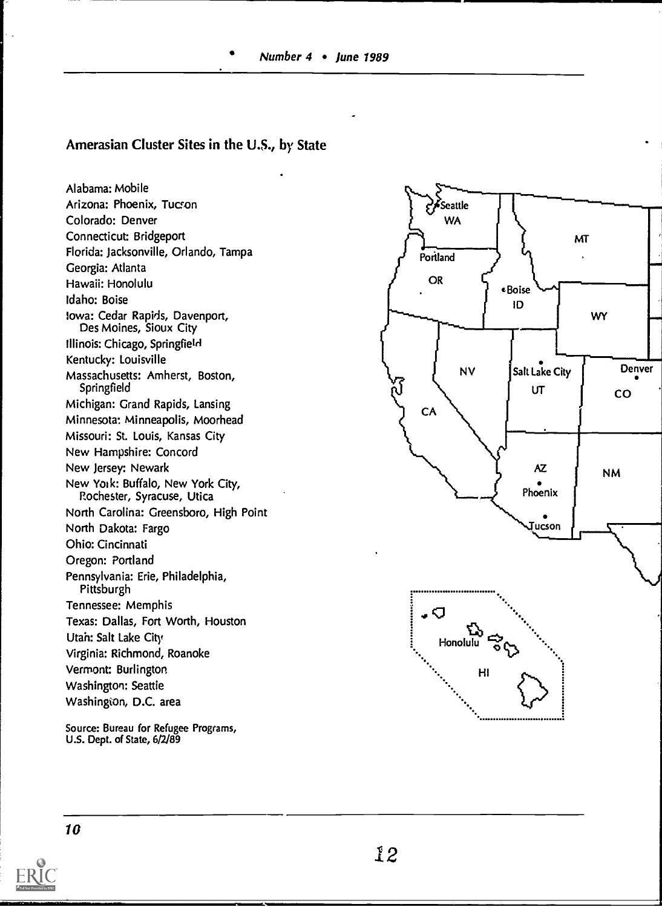Number 4 • June 1989

### Amerasian Cluster Sites in the U.S., by State

Alabama: Mobile Arizona: Phoenix, Tucron Colorado: Denver Connecticut: Bridgeport Florida: Jacksonville, Orlando, Tampa Georgia: Atlanta Hawaii: Honolulu Idaho: Boise Iowa: Cedar Rapids, Davenport, Des Moines, Sioux City Illinois: Chicago, Springfield Kentucky: Louisville Massachusetts: Amherst, Boston, Springfield Michigan: Grand Rapids, Lansing Minnesota: Minneapolis, Moorhead Missouri: St. Louis, Kansas City New Hampshire: Concord New Jersey: Newark New Yolk: Buffalo, New York City, Rochester, Syracuse, Utica North Carolina: Greensboro, High Point North Dakota: Fargo Ohio: Cincinnati Oregon: Portland Pennsylvania: Erie, Philadelphia, **Pittsburgh** Tennessee: Memphis Texas: Dallas, Fort Worth, Houston Utah: Salt Lake City Virginia: Richmond, Roanoke Vermont: Burlington Washington: Seattie Washington, D.C. area

Source: Bureau for Refugee Programs, U.S. Dept. of State, 6/2/89



10

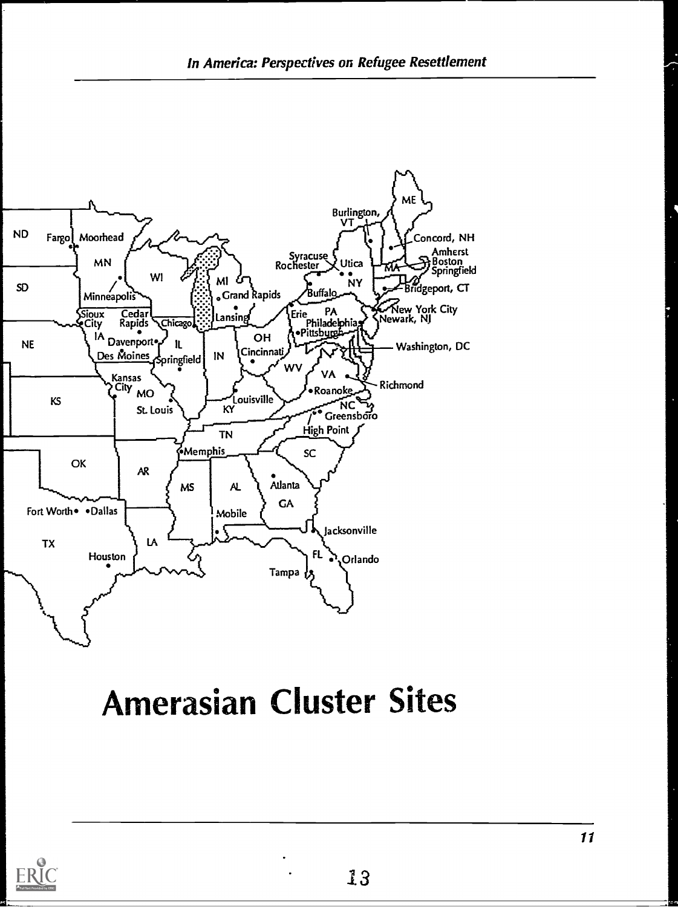

## **Amerasian Cluster Sites**

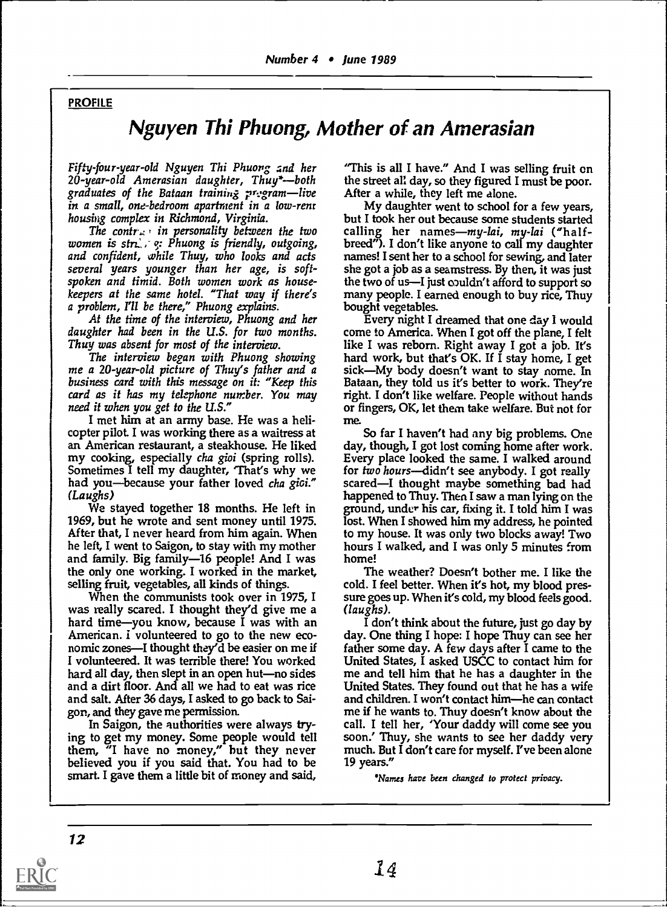### **PROFILE**

### Nguyen Thi Phuong, Mother of an Amerasian

Fiffy-four-year-old Nguyen Thi Phuong and her 20-year-old Amerasian daughter, Thuy\*--both graduates of the Bataan training  $r$ : gram—live in a small, one-bedroom apartment in a low-renr housing complex in Richmond, Virginia.

The contration personality between the two women is  $str.$  ;  $\varphi$ : Phuong is friendly, outgoing, and confident, while Thuy, who looks and acts several years younger than her age, is softspoken and timid. Both women work as housekeepers at the same hotel. "That way if there's a problem, I'll be there," Phuong explains.

At the time of the interview, Phuong and her daughter had been in the U.S. for two months. Thuy was absent for most of the interview.

The interview began with Phuong showing me a 20-year-old picture of Thuy's father and a sick—My body doesn't want to stay nome. In business card with this message on it: "Keep this Bataan, they told us it's better to work. They're card as it has my telephone number. You may need it when you get to the U.S."

I met him at an army base. He was a helicopter pilot. I was working there as a waitress at an American restaurant, a steakhouse. He liked my cooking, especially cha gioi (spring rolls). Sometimes I tell my daughter, That's why we had you-because your father loved cha gioi." (Laughs)

We stayed together 18 months. He left in 1969, but he wrote and sent money until 1975. After that, I never heard from him again. When he left, I went to Saigon, to stay with my mother and family. Big family-16 people! And I was the only one working. I worked in the market, selling fruit, vegetables, all kinds of things.

When the communists took over in 1975, I was really scared. I thought they'd give me a hard time-you know, because I was with an American. I volunteered to go to the new economic zones-I thought they'd be easier on me if I volunteered. It was terrible there! You worked hard all day, then slept in an open hut-no sides and a dirt floor. And all we had to eat was rice and salt. After 36 days, I asked to go back to Saigon, and they gave me permission.

In Saigon, the authorities were always trying to get my money. Some people would tell them, "I have no money," but they never believed you if you said that. You had to be smart. I gave them a little bit of money and said,

"This is all I have." And I was selling fruit on the street all day, so they figured I must be poor. After a while, they left me alone.

My daughter went to school for a few years, but I took her out because some students started calling her names— $my$ -lai, my-lai ("halfbreed"). I don't like anyone to call my daughter names! I sent her to a school for sewing, and later she got a job as a seamstress. By then, it was just the two of us—I just couldn't afford to support so many people. I earned enough to buy rice, Thuy bought vegetables.

Every night I dreamed that one day I would come to America. When I got off the plane, I felt like I was reborn. Right away I got a job. It's hard work, but that's OK. If I stay home, I get right. I don't like welfare. People without hands or fingers, OK, let them take welfare. But not for me.

So far I haven't had any big problems. One day, though, I got lost coming home after work. Every place looked the same. I walked around for two hours-didn't see anybody. I got really scared-I thought maybe something bad had happened to Thuy. Then I saw a man lying on the ground, under his car, fixing it. I told him I was lost. When I showed him my address, he pointed to my house. It was only two blocks away! Two hours I walked, and I was only 5 minutes from home!

The weather? Doesn't bother me. I like the cold. I feel better. When it's hot, my blood pressure goes up. When it's cold, my blood feels good. (laughs).

I don't think about the future, just go day by day. One thing I hope: I hope Thuy can see her father some day. A few days after I came to the United States, I asked USCC to contact him for me and tell him that he has a daughter in the United States. They found out that he has a wife and children. I won't contact him-he can contact me if he wants to. Thuy doesn't know about the call. I tell her, 'Your daddy will come see you soon.' Thuy, she wants to see her daddy very much. But I don't care for myself. I've been alone 19 years."

\*Names have been changed to protect privacy.

12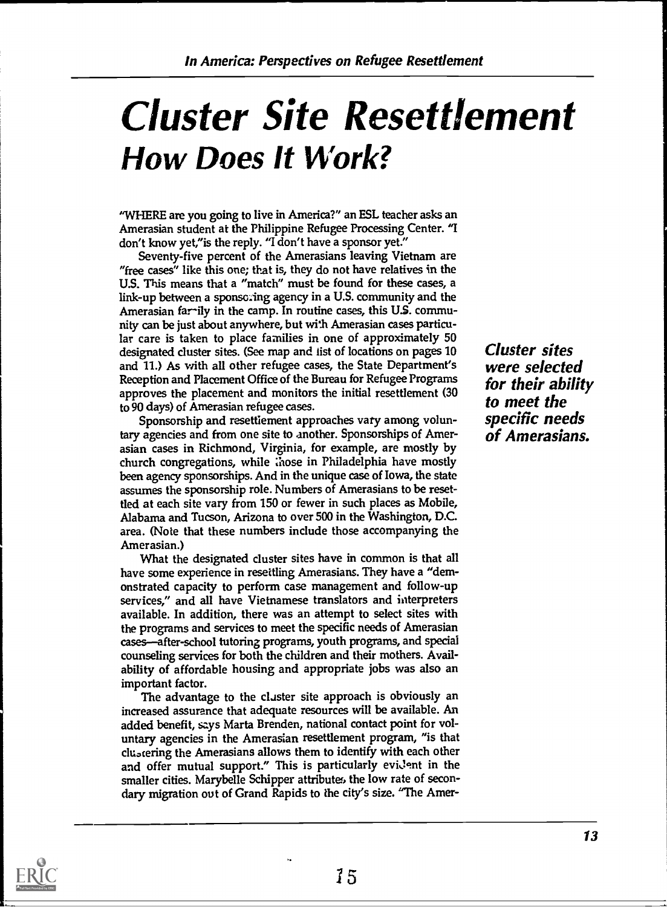## Cluster Site Resettlement How Does It Work?

"WHERE are you going to live in America?" an ESL teacher asks an Amerasian student at the Philippine Refugee Processing Center. "I don't know yet,"is the reply. "I don't have a sponsor yet."

Seventy-five percent of the Amerasians leaving Vietnam are "free cases" like this one; that is, they do not have relatives in the U.S. This means that a "match" must be found for these cases, a link-up between a sponso:ing agency in a U.S. community and the Amerasian farily in the camp. In routine cases, this US. community can be just about anywhere, but with Amerasian cases particular care is taken to place families in one of approximately 50 designated cluster sites. (See map and list of locations on pages 10 and 11.) As with all other refugee cases, the State Department's Reception and Placement Office of the Bureau for Refugee Programs approves the placement and monitors the initial resettlement (30 to 90 days) of Amerasian refugee cases.

Sponsorship and resettiement approaches vary among voluntary agencies and from one site to another. Sponsorships of Amerasian cases in Richmond, Virginia, for example, are mostly by church congregations, while ;hose in Philadelphia have mostly been agency sponsorships. And in the unique case of Iowa, the state assumes the sponsorship role. Numbers of Amerasians to be resettled at each site vary from 150 or fewer in such places as Mobile, Alabama and Tucson, Arizona to over 500 in the Washington, D.C. area. (Note that these numbers include those accompanying the Amerasian.)

What the designated cluster sites have in common is that all have some experience in resettling Amerasians. They have a "demonstrated capacity to perform case management and follow-up services," and all have Vietnamese translators and interpreters available. In addition, there was an attempt to select sites with the programs and services to meet the specific needs of Amerasian cases-after-school tutoring programs, youth programs, and special counseling services for both the children and their mothers. Availability of affordable housing and appropriate jobs was also an important factor.

The advantage to the claster site approach is obviously an increased assurance that adequate resources will be available. An added benefit, says Marta Brenden, national contact point for voluntary agencies in the Amerasian resettlement program, "is that cluotering the Amerasians allows them to identify with each other and offer mutual support." This is particularly evident in the smaller cities. Marybelle Schipper attributes the low rate of secondary migration out of Grand Rapids to the city's size. "The AmerCluster sites were selected for their ability to meet the specific needs of Amerasians.

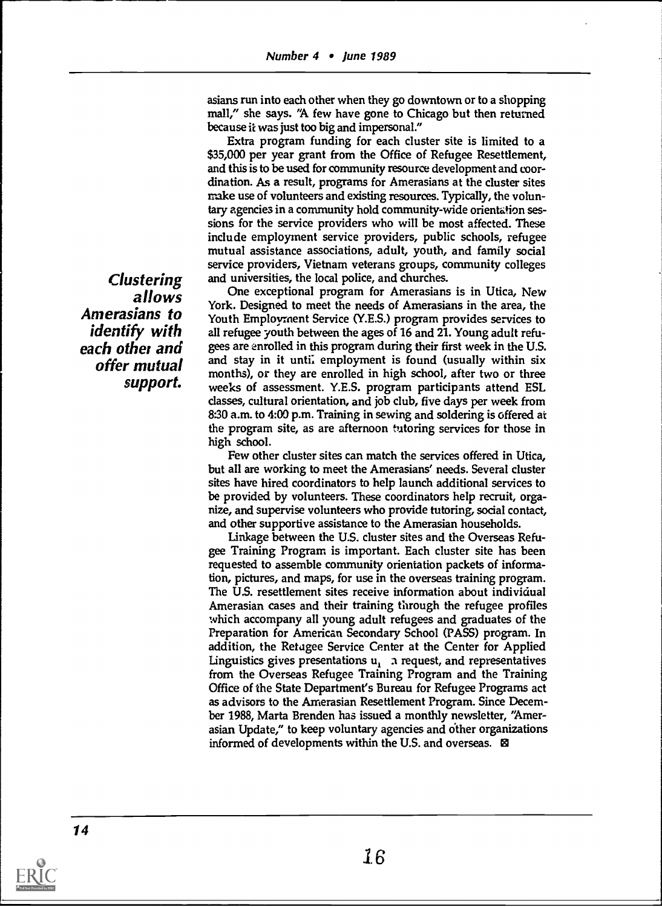asians run into each other when they go downtown or to a shopping mall," she says. 'A few have gone to Chicago but then returned because it was just too big and impersonal."

Extra program funding for each cluster site is limited to a \$35,000 per year grant from the Office of Refugee Resettlement, and this is to be used for community resource development and coordination. As a result, programs for Amerasians at the cluster sites make use of volunteers and existing resources. Typically, the voluntary agencies in a community hold community-wide orientation sessions for the service providers who will be most affected. These include employment service providers, public schools, refugee mutual assistance associations, adult, youth, and family social service providers, Vietnam veterans groups, community colleges and universities, the local police, and churches.

One exceptional program for Amerasians is in Utica, New York. Designed to meet the needs of Amerasians in the area, the Youth Employment Service (Y.E.S.) program provides services to all refugee youth between the ages of 16 and 21. Young adult refugees are enrolled in this program during their first week in the U.S. and stay in it unti: employment is found (usually within six months), or they are enrolled in high school, after two or three weeks of assessment. Y.E.S. program participants attend ESL classes, cultural orientation, and job club, five days per week from 8:30 a.m. to 4:00 p.m. Training in sewing and soldering is offered at the program site, as are afternoon tutoring services for those in high school.

Few other cluster sites can match the services offered in Utica, but all are working to meet the Amerasians' needs. Several cluster sites have hired coordinators to help launch additional services to be provided by volunteers. These coordinators help recruit, organize, and supervise volunteers who provide tutoring, social contact, and other supportive assistance to the Amerasian households.

Linkage between the US. cluster sites and the Overseas Refugee Training Program is important. Each cluster site has been requested to assemble community orientation packets of information, pictures, and maps, for use in the overseas training program. The US. resettlement sites receive information about individual Amerasian cases and their training through the refugee profiles which accompany all young adult refugees and graduates of the Preparation for American Secondary School (PASS) program. In addition, the Refugee Service Center at the Center for Applied Linguistics gives presentations  $u_1$ , a request, and representatives from the Overseas Refugee Training Program and the Training Office of the State Department's Bureau for Refugee Programs act as advisors to the Amerasian Resettlement Program. Since December 1988, Marta Brenden has issued a monthly newsletter, "Amerasian Update," to keep voluntary agencies and dther organizations informed of developments within the U.S. and overseas.  $\boxtimes$ 

Clustering allows Amerasians to identify with each other and offer mutual support.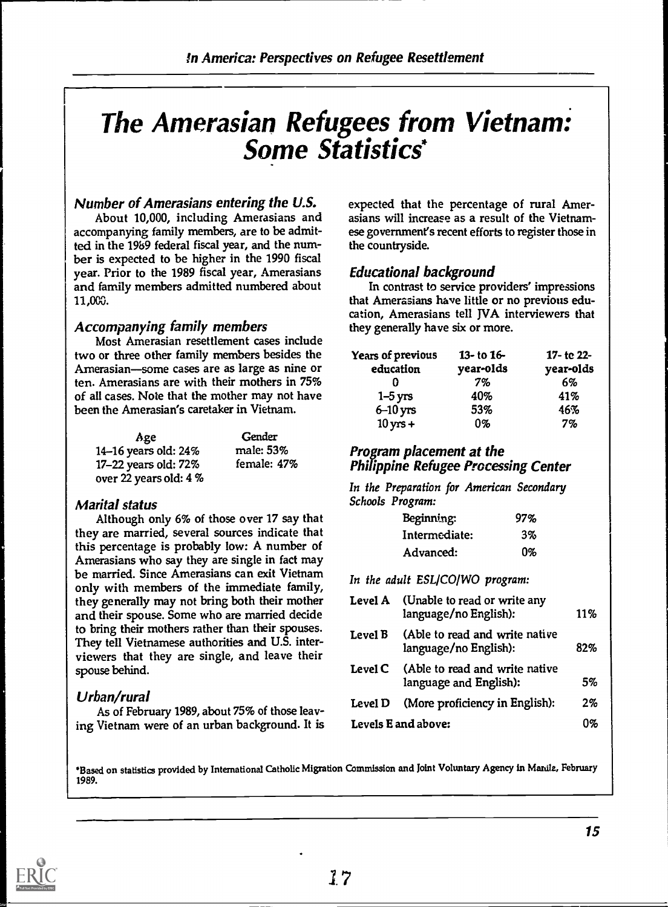## The Amerasian Refugees from Vietnam: Some Statistics\*

### Number of Amerasians entering the U.S.

About 10,000, including Amerasians and accompanying family members, are to be admitted in the 19b9 federal fiscal year, and the number is expected to be higher in the 1990 fiscal year. Prior to the 1989 fiscal year, Amerasians and family members admitted numbered about 11,000.

### Accompanying family members

Most Amerasian resettlement cases include two or three other family members besides the Amerasian-some cases are as large as nine or ten. Amerasians are with their mothers in 75% of all cases. Note that the mother may not have been the Amerasian's caretaker in Vietnam.

| Age                       | Gender      |                                             |
|---------------------------|-------------|---------------------------------------------|
| 14–16 years old: $24\%$   | male: 53%   | <b>Program placement at the</b>             |
| $17-22$ years old: $72\%$ | female: 47% | <b>Philippine Refugee Processing Center</b> |
| over 22 years old: 4 %    |             |                                             |

### Marital status

Although only 6% of those over 17 say that they are married, several sources indicate that this percentage is probably low: A number of Amerasians who say they are single in fact may be married. Since Amerasians can exit Vietnam only with members of the immediate family, they generally may not bring both their mother and their spouse. Some who are married decide to bring their mothers rather than their spouses. They tell Vietnamese authorities and U.S. interviewers that they are single, and leave their spouse behind.

### Urban/rural

As of February 1989, about 75% of those leaving Vietnam were of an urban background. It is expected that the percentage of rural Amerasians will increase as a result of the Vietnamese government's recent efforts to register those in the countryside.

### Educational background

In contrast to service providers' impressions that Amerasians have little or no previous education, Amerasians tell NA interviewers that they generally have six or more.

| Years of previous<br>education | 13- to $16-$<br>year-olds | 17- to 22-<br>year-olds |
|--------------------------------|---------------------------|-------------------------|
|                                | 7%                        | 6%                      |
| $1-5$ yrs                      | 40%                       | 41%                     |
| $6 - 10$ yrs                   | 53%                       | 46%                     |
| $10$ yrs +                     | 0%                        | 7%                      |

## Program placement at the

In the Preparation for American Secondary Schools Program:

| Beginning:    | 97% |  |
|---------------|-----|--|
| Intermediate: | 3%  |  |
| Advanced:     | በ%  |  |

In the adult ESL/CO/WO program:

| Level A | (Unable to read or write any<br>language/no English):    | 11% |  |
|---------|----------------------------------------------------------|-----|--|
| Level B | (Able to read and write native<br>language/no English):  | 82% |  |
| Level C | (Able to read and write native<br>language and English): | 5%  |  |
| Level D | (More proficiency in English):                           | 2%  |  |
|         | Levels E and above:                                      | 0%  |  |
|         |                                                          |     |  |

'Based on statistics provided by International Catholic Migration Commission and Joint Voluntary Agency in Manilz, February 1989.

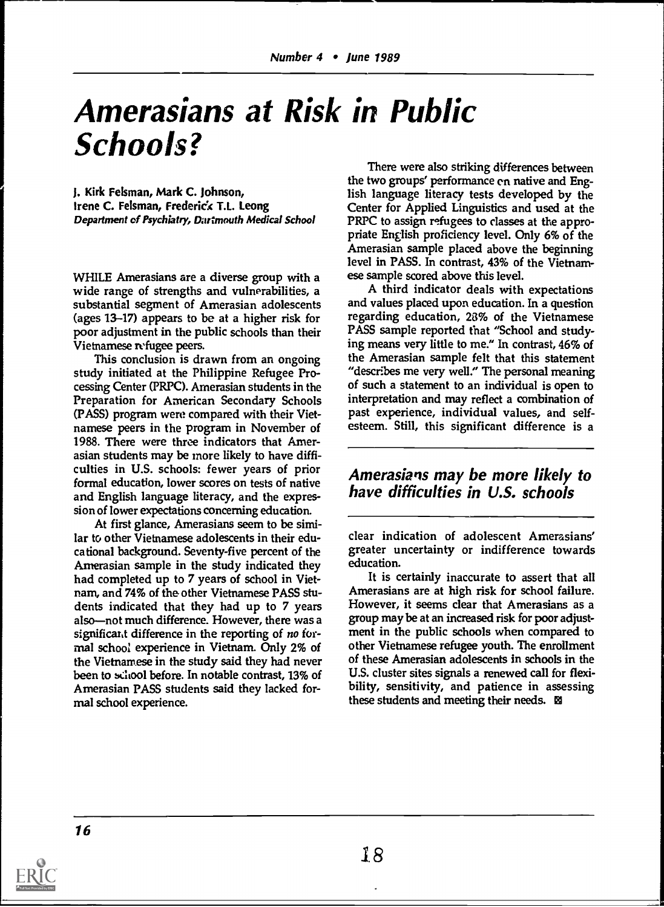## Amerasians at Risk in Public Schools?

J. Kirk Felsman, Mark C. Johnson, Irene C. Feisman, Frederick T.L. Leong Department of Psychiatry, Dartmouth Medical School

WFIILE Amerasians are a diverse group with a wide range of strengths and vulnerabilities, a substantial segment of Amerasian adolescents (ages 13-17) appears to be at a higher risk for poor adjustment in the public schools than their Vietnamese refugee peers.

This conclusion is drawn from an ongoing study initiated at the Philippine Refugee Processing Center (PRPC). Amerasian students in the Preparation for American Secondary Schools (PASS) program were compared with their Vietnamese peers in the program in November of 1988. There were three indicators that Amerasian students may be more likely to have difficulties in U.S. schools: fewer years of prior formal education, lower scores on tests of native and English language literacy, and the expression of lower expectations concerning education.

At first glance, Amerasians seem to be similar to other Vietnamese adolescents in their educational background. Seventy-five percent of the Amerasian sample in the study indicated they had completed up to 7 years of school in Vietnam, and 74% of the other Vietnamese PASS students indicated that they had up to 7 years also-not much difference. However, there was a significant difference in the reporting of no formal school experience in Vietnam. Only 2% of the Vietnamese in the study said they had never been to school before. In notable contrast, 13% of Amerasian PASS students said they lacked formal school experience.

There were also striking differences between the two groups' performance en native and English language literacy tests developed by the Center for Applied Linguistics and used at the PRPC to assign refugees to classes at the appropriate English proficiency level. Only 6% of the Amerasian sample placed above the beginning level in PASS. In contrast, 43% of the Vietnamese sample scored above this level.

A third indicator deals with expectations and values placed upon education. In a question regarding education, 28% of the Vietnamese PASS sample reported that "School and studying means very little to me." In contrast, 46% of the Amerasian sample felt that this statement "describes me very well." The personal meaning of such a statement to an individual is open to interpretation and may reflect a combination of past experience, individual values, and selfesteem. Still, this significant difference is a

### Amerasians may be more likely to have difficulties in U.S. schools

clear indication of adolescent Amerasians' greater uncertainty or indifference towards education.

It is certainly inaccurate to assert that all Amerasians are at high risk for school failure. However, it seems clear that Amerasians as a group may be at an increased risk for poor adjustment in the public schools when compared to other Vietnamese refugee youth. The enrollment of these Amerasian adolescents in schools in the U.S. cluster sites signals a renewed call for flexibility, sensitivity, and patience in assessing these students and meeting their needs. 29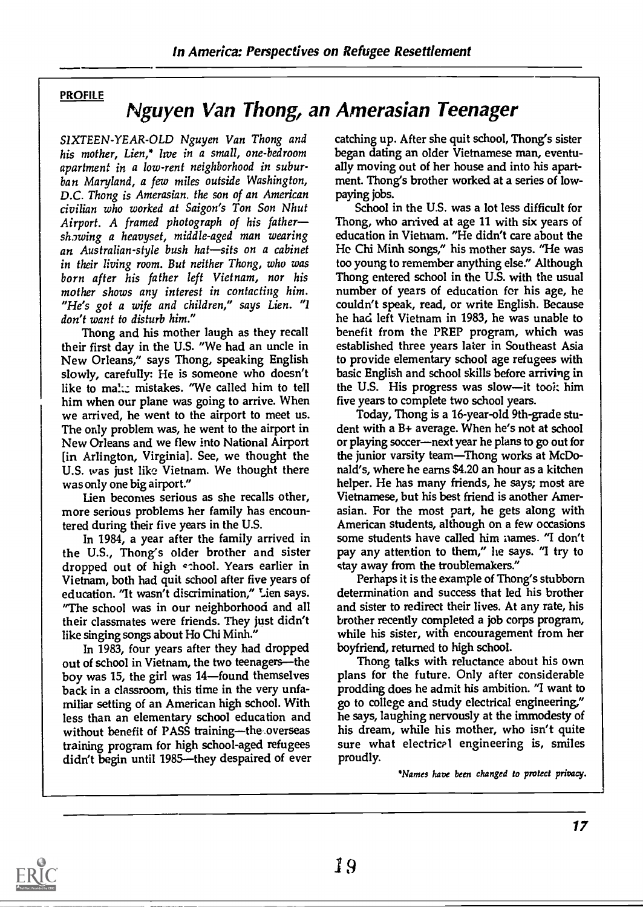### PROFILE

### Nguyen Van Thong, an Amerasian Teenager

S1XTEEN-YEAR-OLD Nguyen Van Thong and his mother, Lien,\* live in a small, one-bedroom apartment in a low-rent neighborhood in suburban Maryland, a few miles outside Washington, D.C. Thong is Amerasian. the son of an American civilian who worked at Saigon's Ton Son Nhut Airport. A framed photograph of his father showing a heavyset, middle-aged man wearing an Australian-style bush hat—sits on a cabinet in their living room. But neither Thong, who was born after his father left Vietnam, nor his mother shows any interest in contacting him. "He's got a wife and children," says Lien. "1 don't want to disturb him."

Thong and his mother laugh as they recall their first day in the U.S. "We had an uncle in New Orleans," says Thong, speaking English slowly, carefully: He is someone who doesn't like to mal:: mistakes. "We called him to tell him when our plane was going to arrive. When we arrived, he went to the airport to meet us. The only problem was, he went to the airport in New Orleans and we flew into National Airport [in Arlington, Virginia]. See, we thought the U.S. was just like Vietnam. We thought there was only one big airport."

Lien becomes serious as she recalls other, more serious problems her family has encountered during their five years in the U.S.

In 1984, a year after the family arrived in the U.S., Thong's older brother and sister dropped out of high c:hool. Years earlier in Vietnam, both had quit school after five years of education. "It wasn't discrimination," Lien says. "The school was in our neighborhood and all their classmates were friends. They just didn't like singing songs about Ho Chi Minh."

In 1983, four years after they had dropped out of school in Vietnam, the two teenagers-the boy was 15, the girl was  $14$ -found themselves back in a classroom, this time in the very unfamiliar setting of an American high school. With less than an elementary school education and without benefit of PASS training-the overseas training program for high school-aged refugees didn't begin until 1985-they despaired of ever catching up. After she quit school, Thong's sister began dating an older Vietnamese man, eventually moving out of her house and into his apartment. Thong's brother worked at a series of lowpaying jobs.

School in the U.S. was a lot less difficult for Thong, who arrived at age 11 with six years of education in Vietnam. "He didn't care about the Hc Chi Minh songs," his mother says. "He was too young to remember anything else." Although Thong entered school in the U.S. with the usual number of years of education for his age, he couldn't speak, read, or write English. Because he had left Vietnam in 1983, he was unable to benefit from the PREP program, which was established three years later in Southeast Asia to provide elementary school age refugees with basic English and school skills before arriving in the U.S. His progress was slow-it took him five years to complete two school years.

Today, Thong is a 16-year-old 9th-grade student with a B+ average. When he's not at school or playing soccer-next year he plans to go out for the junior varsity team—Thong works at McDonald's, where he earns \$4.20 an hour as a kitchen helper. He has many friends, he says; most are Vietnamese, but his best friend is another Amerasian. For the most part, he gets along with American students, although on a few occasions some students have called him names. "I don't pay any attention to them," he says. "I try to stay away from the troublemakers."

Perhaps it is the example of Thong's stubborn determination and success that led his brother and sister to redirect their lives. At any rate, his brother recently completed a job corps program, while his sister, with encouragement from her boyfriend, returned to high school.

Thong talks with reluctance about his own plans for the future. Only after considerable prodding does he admit his ambition. "I want to go to college and study electrical engineering," he says, laughing nervously at the immodesty of his dream, while his mother, who isn't quite sure what electrical engineering is, smiles proudly.

'Names have been changed to protect privacy.

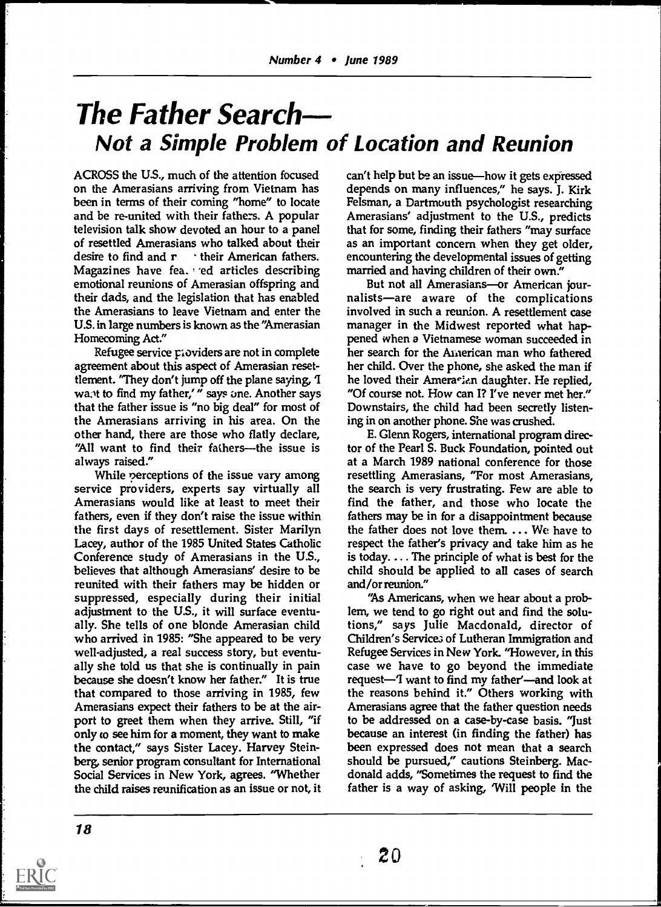### The Father Search Not a Simple Problem of Location and Reunion

ACROSS the US., much of the attention focused on the Amerasians arriving from Vietnam has been in terms of their coming "home" to locate and be re-united with their fathers. A popular television talk show devoted an hour to a panel of resettled Amerasians who talked about their desire to find and  $r \rightarrow$  their American fathers. Magazines have fea. ed articles describing emotional reunions of Amerasian offspring and But not all Amerasians-or American jourtheir dads, and the legislation that has enabled the Amerasians to leave Vietnam and enter the U.S. in large numbers is known as the "Amerasian Homecoming Act."

Refugee service ploviders are not in complete agreement about this aspect of Amerasian resettlement. "They don't jump off the plane saying, 'I wa.<sup>t</sup> to find my father,'" says one. Another says that the father issue is "no big deal" for most of the Amerasians arriving in his area. On the other hand, there are those who flatly declare, "All want to find their fathers---the issue is always raised."

While perceptions of the issue vary among service providers, experts say virtually all Amerasians would like at least to meet their fathers, even if they don't raise the issue within the first days of resettlement. Sister Marilyn Lacey, author of the 1985 United States Catholic Conference study of Amerasians in the US., believes that although Amerasians' desire to be reunited with their fathers may be hidden or suppressed, especially during their initial adjustment to the U.S., it will surface eventually. She tells of one blonde Amerasian child who arrived in 1985: "She appeared to be very well-adjusted, a real success story, but eventually she told us that she is continually in pain because she doesn't know her father." It is true that compared to those arriving in 1985, few Amerasians expect their fathers to be at the airport to greet them when they arrive. Still, "if only co see him for a moment, they want to make the contact," says Sister Lacey. Harvey Steinberg, senior program consultant for International Social Services in New York, agrees. "Whether the child raises reunification as an issue or not, it can't help but be an issue—how it gets expressed depends on many influences," he says. J. Kirk Felsman, a Dartmouth psychologist researching Amerasians' adjustment to the U.S., predicts that for some, finding their fathers "may surface as an important concern when they get older, encountering the developmental issues of getting married and having children of their own."

nalists-are aware of the complications involved in such a reunion. A resettlement case manager in the Midwest reported what happened when a Vietnamese woman succeeded in her search for the American man who fathered her child. Over the phone, she asked the man if he loved their Amera-ian daughter. He replied, "Of course not. How can I? I've never met her." Downstairs, the child had been secretly listening in on another phone. She was crushed.

E. Glenn Rogers, international program director of the Pearl S. Buck Foundation, pointed out at a March 1989 national conference for those resettling Amerasians, "For most Amerasians, the search is very frustrating. Few are able to find the father, and those who locate the fathers may be in for a disappointment because the father does not love them. ... We have to respect the father's privacy and take him as he is today.... The principle of what is best for the child should be applied to all cases of search and/or reunion."

"As Americans, when we hear about a problem, we tend to go right out and find the solutions," says Julie Macdonald, director of Children's Service3 of Lutheran Immigration and Refugee Services in New York. "However, in this case we have to go beyond the immediate request—I want to find my father'—and look at the reasons behind it." Others working with Amerasians agree that the father question needs to be addressed on a case-by-case basis. "Just because an interest (in finding the father) has been expressed does not mean that a search should be pursued," cautions Steinberg. Macdonald adds, "Sometimes the request to find the father is a way of asking, Will people in the

20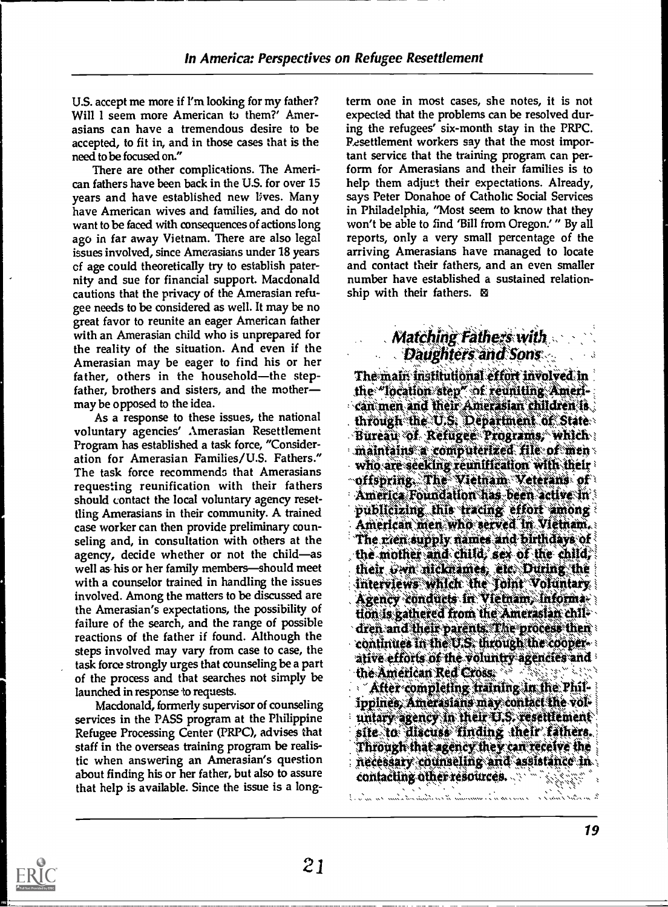U.S. accept me more if I'm looking for my father? Will I seem more American to them?' Amerasians can have a tremendous desire to be accepted, to fit in, and in those cases that is the need to be focused on."

There are other complications. The American fathers have been back in the U.S. for over 15 years and have established new lives. Many have American wives and families, and do not want to be faced with consequences of actions long ago in far away Vietnam. There are also legal issues involved, since Amerasians under 18 years cf age could theoretically try to establish paternity and sue for financial support. Macdonald cautions that the privacy of the Amerasian refugee needs to be considered as well. It may be no great favor to reunite an eager American father with an Amerasian child who is unprepared for the reality of the situation. And even if the Amerasian may be eager to find his or her father, others in the household-the stepfather, brothers and sisters, and the mother may be opposed to the idea.

voluntary agencies' Amerasian Resettlement Program has established a task force, "Consideration for Amerasian Families/U.S. Fathers." The task force recommends that Amerasians requesting reunification with their fathers should contact the local voluntary agency resettling Amerasians in their community. A trained<br>case worker can then provide preliminary coun-<br>American men who served in Vietnam. case worker can then provide preliminary counseling and, in consultation with others at the agency, decide whether or not the child-as well as his or her family members—should meet with a counselor trained in handling the issues involved. Among the matters to be discussed are Agency conducts in Vietnam, informathe Amerasian's expectations, the possibility of the atternational the American chile failure of the search, and the range of possible reactions of the father if found. Although the continues in the U.S. through the coopersteps involved may vary from case to case, the attack of the voluntry agencies and task force strongly urges that counseling be a part of the process and that searches not simply be launched in response to requests.

Macdonald, formerly supervisor of counseling services in the PASS program at the Philippine in their agency in their ELS. resettlement<br>Refugee Processing Center (PRPC), advises that in site to discuss finding their fathers. Refugee Processing Center (PRPC), advises that staff in the overseas training program be realistic when answering an Amerasian's question about finding his or her father, but also to assure that help is available. Since the issue is a long-

term one in most cases, she notes, it is not expected that the problems can be resolved during the refugees' six-month stay in the PRPC. Resettlement workers say that the most important service that the training program can perform for Amerasians and their families is to help them adjuct their expectations. Already, says Peter Donahoe of Catholic Social Services in Philadelphia, "Most seem to know that they won't be able to find 'Bill from Oregon.' " By all reports, only a very small percentage of the arriving Amerasians have managed to locate and contact their fathers, and an even smaller number have established a sustained relationship with their fathers. Ig

## $\mathcal M$ atching Fathers with

As a response to these issues, the national through the U.S. Department of State Daughters and Sons<br>The main institutional effort involved in the "location step" of reuniting Ameri-'' can men and their Amerasian children is Büreau of Refuger Programs, which  $\ldots$  maintains a computerized file of menwho are seeking reunification with their  $\neg$ offspring. The Vietnam Veterans of  $\theta$ America Foundation has been active in The rien supply names and birthdays of the mother and child, sex of the child, their  $\partial$ wn nicknames, etc. During the interviews which the foint Voluntary dren and their parents. The process then the American Red Cross: WAS 4.6 in 11140 After completing training in the Philippines, Amerasians may contact the voluntary agency in their U.S. resettlement Through that agency they can receive the  $\,$ necessary counseling and assistance in contacting other resources. Said story story

te nextra l'abore e conversa des mandia terrestriales terme ca si la

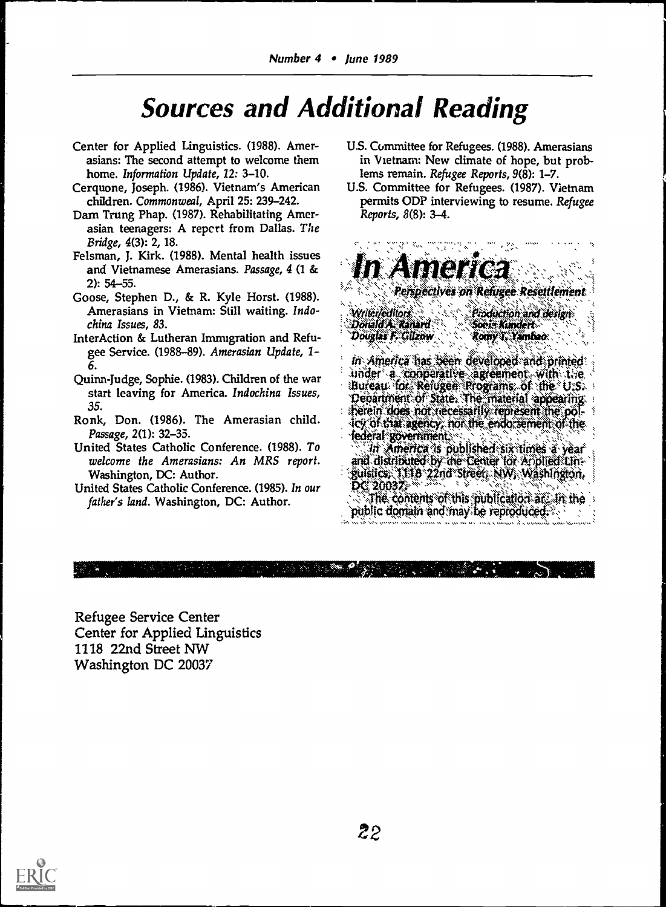## **Sources and Additional Reading**

- Center for Applied Linguistics. (1988). Amerasians: The second attempt to welcome them home. Information Update, 12: 3-10.
- Cerquone, Joseph. (1986). Vietnam's American children. Commonweal, April 25: 239-242.
- Dam Trung Phap. (1987). Rehabilitating Amerasian teenagers: A report from Dallas. The Bridge, 4(3): 2, 18.
- Felsman, J. Kirk. (1988). Mental health issues and Vietnamese Amerasians. Passage, 4 (1 &  $2): 54 - 55.$
- Goose, Stephen D., & R. Kyle Horst. (1988). Amerasians in Vietnam: Still waiting. Indochina Issues, 83.
- InterAction & Lutheran Immigration and Refugee Service. (1988-89). Amerasian Update, 1-
- Quinn-Judge, Sophie. (1983). Children of the war start leaving for America. Indochina Issues, 35.
- Ronk, Don. (1986). The Amerasian child. Passage, 2(1): 32-35.
- United States Catholic Conference. (1988). To welcome the Amerasians: An MRS report. Washington, DC: Author.
- United States Catholic Conference. (1985). In our father's land. Washington, DC: Author.
- U.S. Committee for Refugees. (1988). Amerasians in Vietnam: New climate of hope, but problems remain. Refugee Reports, 9(8): 1-7.
- U.S. Committee for Refugees. (1987). Vietnam permits ODP interviewing to resume. Refugee Reports, 8(8): 3-4.

 $H = 16$ Perspectives on Refugee Resettlement Writer/editors Production and design Donald A. Kanard Soeia Kundert Douglas F. Gilzow Romy T. Yambao: In America has been developed and printed. under a comperative agreement with the Bureau for Refugee Programs of the U.S. Department of State. The material appearing.<br>Therein does not necessarily represent the policy of that agency, not the endorsement of the federal gövernment. In America is published six times a year and distributed by the Center for Amplied Linguistics: 1118 22nd Street, NW, Washington, DC 20032. The contents of this publication at the the public domain and may be reproduced.

Refugee Service Center Center for Applied Linguistics 1118 22nd Street NW Washington DC 20037